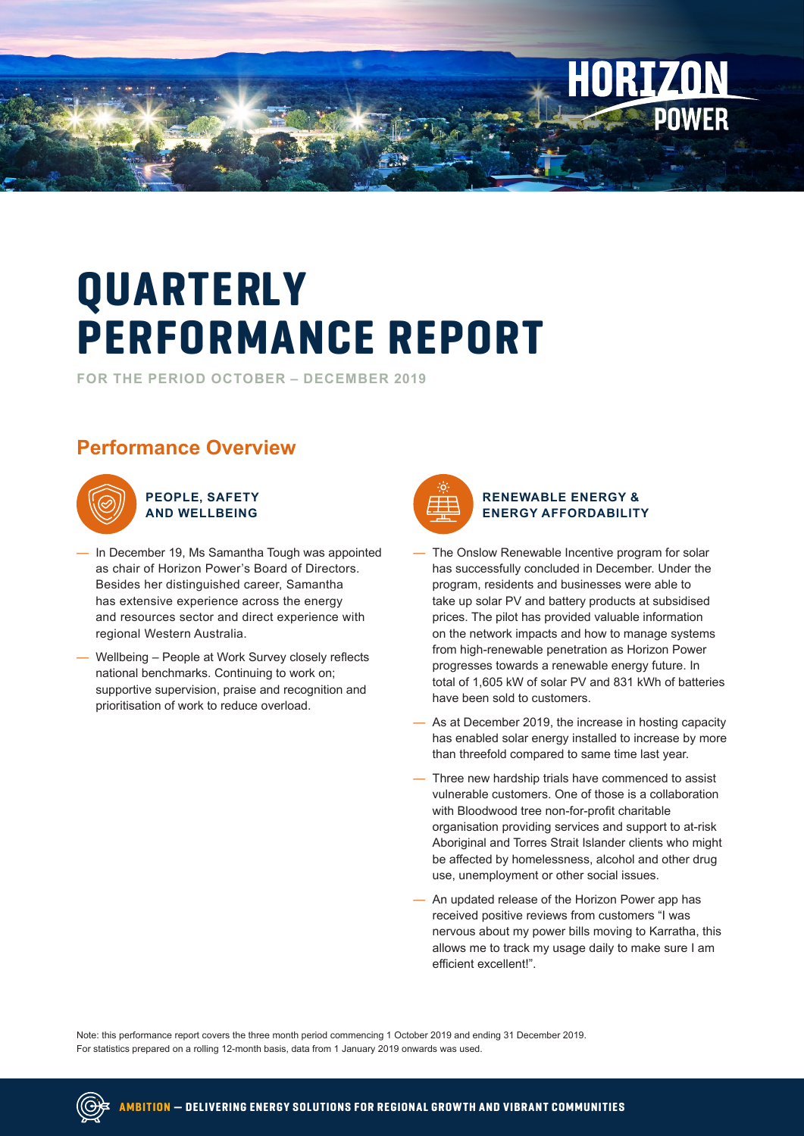

# **QUARTERLY PERFORMANCE REPORT**

**FOR THE PERIOD OCTOBER – DECEMBER 2019**

## **Performance Overview**



**PEOPLE, SAFETY AND WELLBEING**

- In December 19, Ms Samantha Tough was appointed as chair of Horizon Power's Board of Directors. Besides her distinguished career, Samantha has extensive experience across the energy and resources sector and direct experience with regional Western Australia.
- Wellbeing People at Work Survey closely reflects national benchmarks. Continuing to work on; supportive supervision, praise and recognition and prioritisation of work to reduce overload.



#### **RENEWABLE ENERGY & ENERGY AFFORDABILITY**

- The Onslow Renewable Incentive program for solar has successfully concluded in December. Under the program, residents and businesses were able to take up solar PV and battery products at subsidised prices. The pilot has provided valuable information on the network impacts and how to manage systems from high-renewable penetration as Horizon Power progresses towards a renewable energy future. In total of 1,605 kW of solar PV and 831 kWh of batteries have been sold to customers.
- As at December 2019, the increase in hosting capacity has enabled solar energy installed to increase by more than threefold compared to same time last year.
- Three new hardship trials have commenced to assist vulnerable customers. One of those is a collaboration with Bloodwood tree non-for-profit charitable organisation providing services and support to at-risk Aboriginal and Torres Strait Islander clients who might be affected by homelessness, alcohol and other drug use, unemployment or other social issues.
- An updated release of the Horizon Power app has received positive reviews from customers "I was nervous about my power bills moving to Karratha, this allows me to track my usage daily to make sure I am efficient excellent!".

Note: this performance report covers the three month period commencing 1 October 2019 and ending 31 December 2019. For statistics prepared on a rolling 12-month basis, data from 1 January 2019 onwards was used.

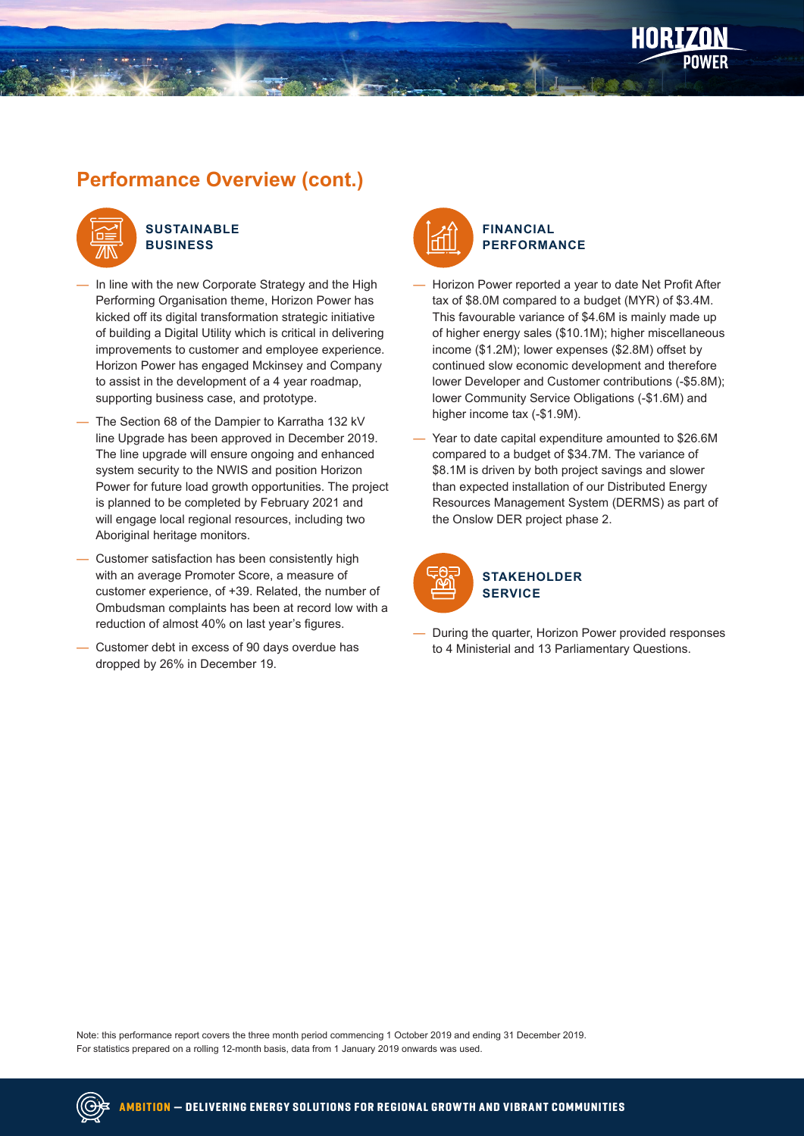

#### **SUSTAINABLE BUSINESS**

- In line with the new Corporate Strategy and the High Performing Organisation theme, Horizon Power has kicked off its digital transformation strategic initiative of building a Digital Utility which is critical in delivering improvements to customer and employee experience. Horizon Power has engaged Mckinsey and Company to assist in the development of a 4 year roadmap, supporting business case, and prototype.
- The Section 68 of the Dampier to Karratha 132 kV line Upgrade has been approved in December 2019. The line upgrade will ensure ongoing and enhanced system security to the NWIS and position Horizon Power for future load growth opportunities. The project is planned to be completed by February 2021 and will engage local regional resources, including two Aboriginal heritage monitors.
- Customer satisfaction has been consistently high with an average Promoter Score, a measure of customer experience, of +39. Related, the number of Ombudsman complaints has been at record low with a reduction of almost 40% on last year's figures.
- Customer debt in excess of 90 days overdue has dropped by 26% in December 19.



- Horizon Power reported a year to date Net Profit After tax of \$8.0M compared to a budget (MYR) of \$3.4M. This favourable variance of \$4.6M is mainly made up of higher energy sales (\$10.1M); higher miscellaneous income (\$1.2M); lower expenses (\$2.8M) offset by continued slow economic development and therefore lower Developer and Customer contributions (-\$5.8M); lower Community Service Obligations (-\$1.6M) and higher income tax (-\$1.9M).
- Year to date capital expenditure amounted to \$26.6M compared to a budget of \$34.7M. The variance of \$8.1M is driven by both project savings and slower than expected installation of our Distributed Energy Resources Management System (DERMS) as part of the Onslow DER project phase 2.



— During the quarter, Horizon Power provided responses to 4 Ministerial and 13 Parliamentary Questions.

Note: this performance report covers the three month period commencing 1 October 2019 and ending 31 December 2019. For statistics prepared on a rolling 12-month basis, data from 1 January 2019 onwards was used.

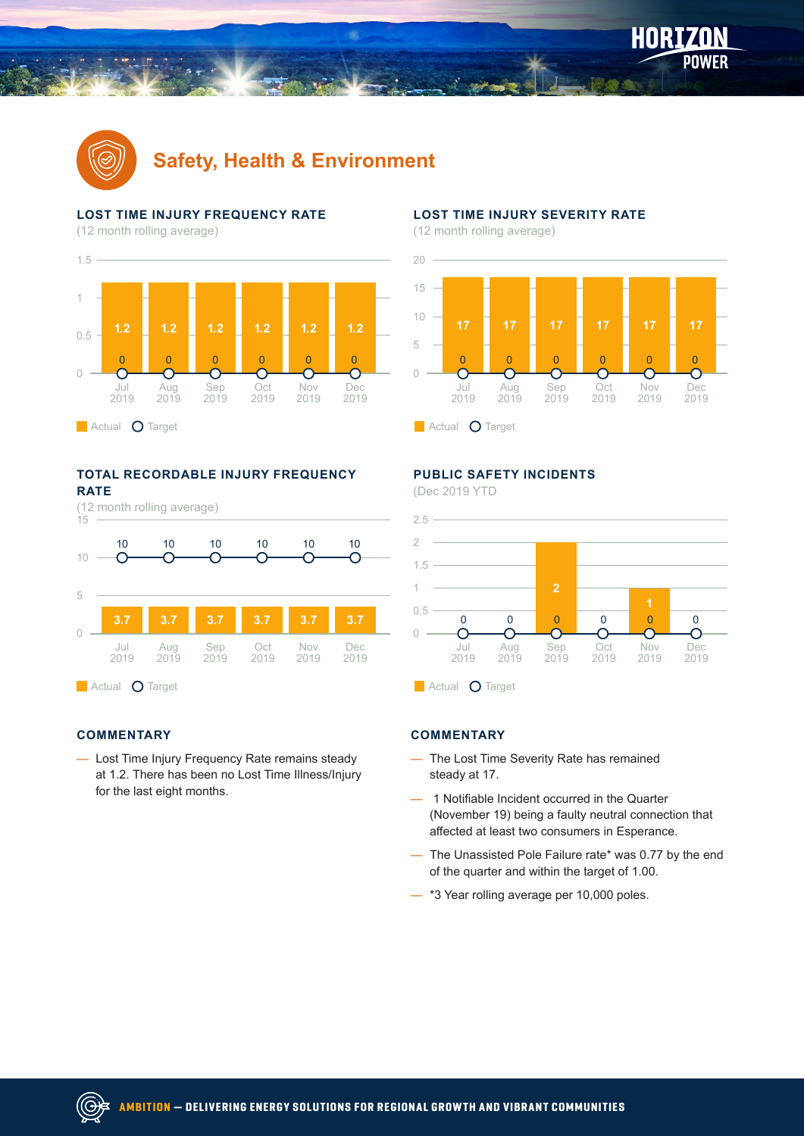

## **Safety, Health & Environment**

#### **LOST TIME INJURY FREQUENCY RATE**

(12 month rolling average)



#### **TOTAL RECORDABLE INJURY FREQUENCY RATE**



#### **COMMENTARY**

— Lost Time Injury Frequency Rate remains steady at 1.2. There has been no Lost Time Illness/Injury for the last eight months.

#### **LOST TIME INJURY SEVERITY RATE**

(12 month rolling average)



### **PUBLIC SAFETY INCIDENTS**

(Dec 2019 YTD



#### **COMMENTARY**

- The Lost Time Severity Rate has remained steady at 17.
- 1 Notifiable Incident occurred in the Quarter (November 19) being a faulty neutral connection that affected at least two consumers in Esperance.
- The Unassisted Pole Failure rate\* was 0.77 by the end of the quarter and within the target of 1.00.
- \*3 Year rolling average per 10,000 poles.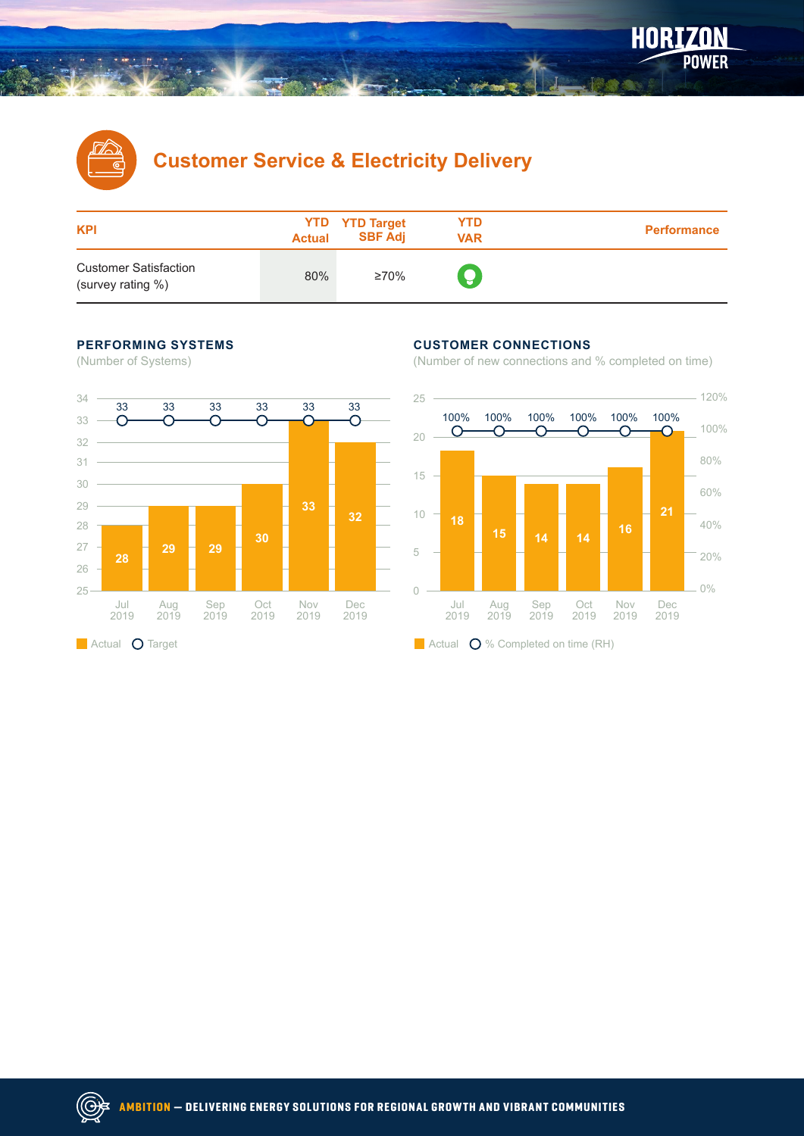

## **Customer Service & Electricity Delivery**

| <b>KPI</b>                                        | <b>Actual</b> | <b>YTD</b> YTD Target<br><b>SBF Adj</b> | YTD<br><b>VAR</b> | <b>Performance</b> |
|---------------------------------------------------|---------------|-----------------------------------------|-------------------|--------------------|
| <b>Customer Satisfaction</b><br>(survey rating %) | 80%           | ≥70%                                    | ę                 |                    |

#### **PERFORMING SYSTEMS**

(Number of Systems)



#### **CUSTOMER CONNECTIONS**

(Number of new connections and % completed on time)

POWER

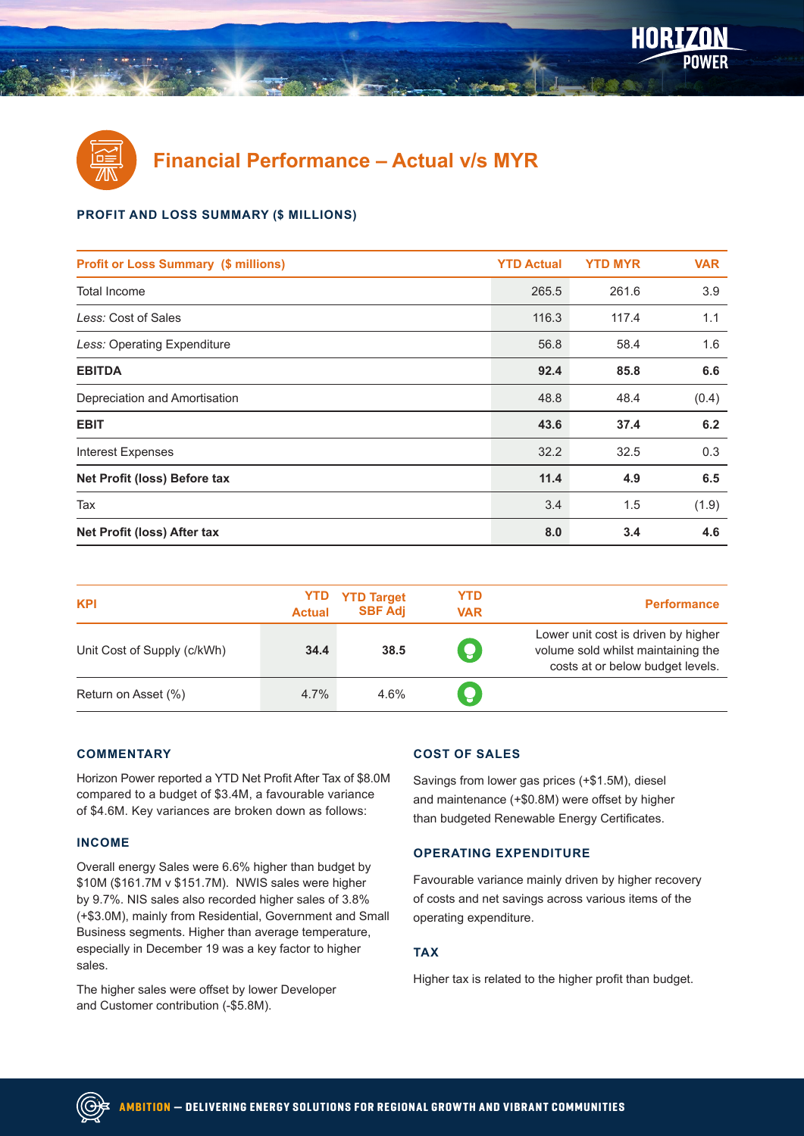

**Financial Performance – Actual v/s MYR**

#### **PROFIT AND LOSS SUMMARY (\$ MILLIONS)**

| <b>Profit or Loss Summary (\$ millions)</b> | <b>YTD Actual</b> | <b>YTD MYR</b> | <b>VAR</b> |
|---------------------------------------------|-------------------|----------------|------------|
| Total Income                                | 265.5             | 261.6          | 3.9        |
| Less: Cost of Sales                         | 116.3             | 117.4          | 1.1        |
| Less: Operating Expenditure                 | 56.8              | 58.4           | 1.6        |
| <b>EBITDA</b>                               | 92.4              | 85.8           | 6.6        |
| Depreciation and Amortisation               | 48.8              | 48.4           | (0.4)      |
| <b>EBIT</b>                                 | 43.6              | 37.4           | 6.2        |
| <b>Interest Expenses</b>                    | 32.2              | 32.5           | 0.3        |
| Net Profit (loss) Before tax                | 11.4              | 4.9            | 6.5        |
| Tax                                         | 3.4               | 1.5            | (1.9)      |
| Net Profit (loss) After tax                 | 8.0               | 3.4            | 4.6        |

| <b>KPI</b>                  | <b>Actual</b> | <b>YTD YTD</b> Target<br><b>SBF Adi</b> | <b>YTD</b><br><b>VAR</b> | <b>Performance</b>                                                                                            |
|-----------------------------|---------------|-----------------------------------------|--------------------------|---------------------------------------------------------------------------------------------------------------|
| Unit Cost of Supply (c/kWh) | 34.4          | 38.5                                    | Ó                        | Lower unit cost is driven by higher<br>volume sold whilst maintaining the<br>costs at or below budget levels. |
| Return on Asset (%)         | 4.7%          | 4.6%                                    | ç                        |                                                                                                               |

#### **COMMENTARY**

Horizon Power reported a YTD Net Profit After Tax of \$8.0M compared to a budget of \$3.4M, a favourable variance of \$4.6M. Key variances are broken down as follows:

#### **INCOME**

((G)

Overall energy Sales were 6.6% higher than budget by \$10M (\$161.7M v \$151.7M). NWIS sales were higher by 9.7%. NIS sales also recorded higher sales of 3.8% (+\$3.0M), mainly from Residential, Government and Small Business segments. Higher than average temperature, especially in December 19 was a key factor to higher sales.

The higher sales were offset by lower Developer and Customer contribution (-\$5.8M).

#### **COST OF SALES**

Savings from lower gas prices (+\$1.5M), diesel and maintenance (+\$0.8M) were offset by higher than budgeted Renewable Energy Certificates.

#### **OPERATING EXPENDITURE**

Favourable variance mainly driven by higher recovery of costs and net savings across various items of the operating expenditure.

#### **TAX**

Higher tax is related to the higher profit than budget.